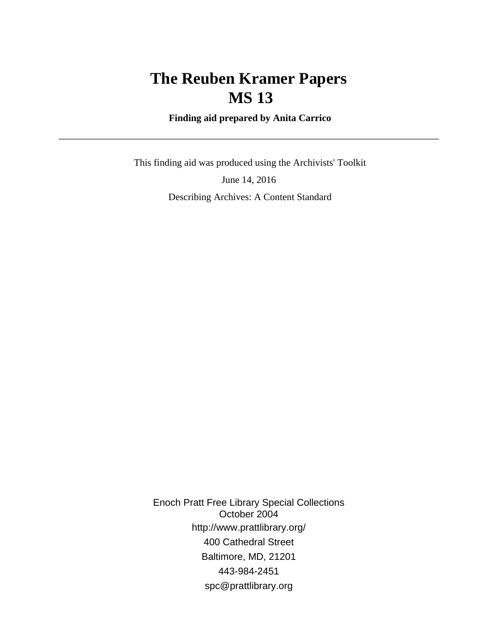# **The Reuben Kramer Papers MS 13**

 **Finding aid prepared by Anita Carrico**

 This finding aid was produced using the Archivists' Toolkit June 14, 2016 Describing Archives: A Content Standard

Enoch Pratt Free Library Special Collections October 2004 http://www.prattlibrary.org/ 400 Cathedral Street Baltimore, MD, 21201 443-984-2451 spc@prattlibrary.org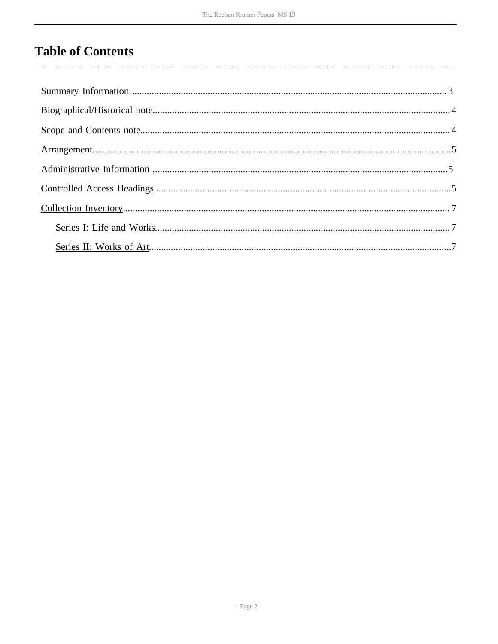# **Table of Contents**

 $\overline{\phantom{a}}$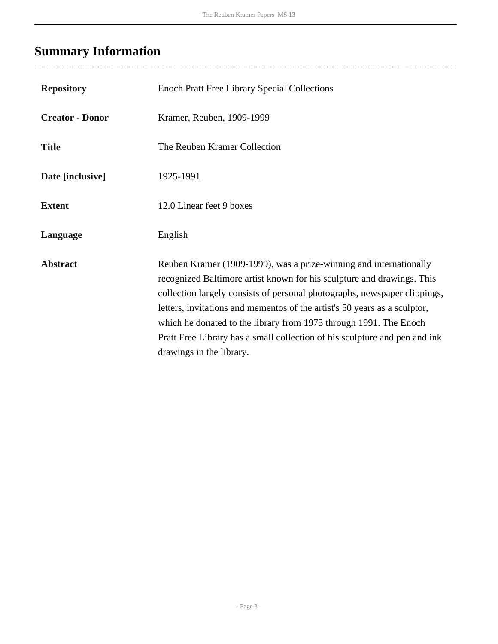# <span id="page-2-0"></span>**Summary Information**

| <b>Repository</b>      | <b>Enoch Pratt Free Library Special Collections</b>                                                                                                                                                                                                                                                                                                                                                                                                                                   |
|------------------------|---------------------------------------------------------------------------------------------------------------------------------------------------------------------------------------------------------------------------------------------------------------------------------------------------------------------------------------------------------------------------------------------------------------------------------------------------------------------------------------|
| <b>Creator - Donor</b> | Kramer, Reuben, 1909-1999                                                                                                                                                                                                                                                                                                                                                                                                                                                             |
| <b>Title</b>           | The Reuben Kramer Collection                                                                                                                                                                                                                                                                                                                                                                                                                                                          |
| Date [inclusive]       | 1925-1991                                                                                                                                                                                                                                                                                                                                                                                                                                                                             |
| <b>Extent</b>          | 12.0 Linear feet 9 boxes                                                                                                                                                                                                                                                                                                                                                                                                                                                              |
| Language               | English                                                                                                                                                                                                                                                                                                                                                                                                                                                                               |
| <b>Abstract</b>        | Reuben Kramer (1909-1999), was a prize-winning and internationally<br>recognized Baltimore artist known for his sculpture and drawings. This<br>collection largely consists of personal photographs, newspaper clippings,<br>letters, invitations and mementos of the artist's 50 years as a sculptor,<br>which he donated to the library from 1975 through 1991. The Enoch<br>Pratt Free Library has a small collection of his sculpture and pen and ink<br>drawings in the library. |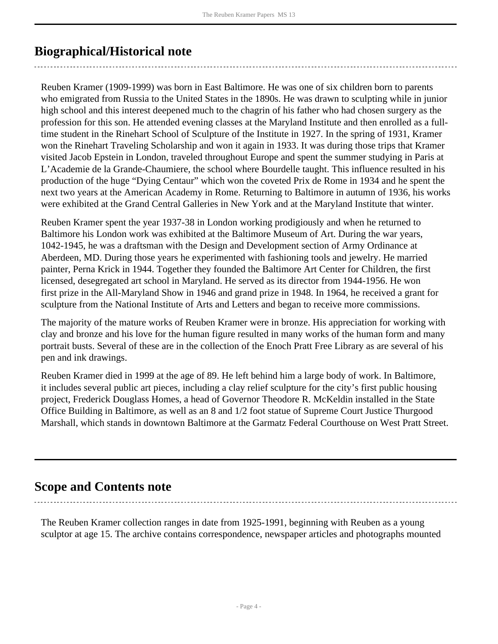## <span id="page-3-0"></span>**Biographical/Historical note**

Reuben Kramer (1909-1999) was born in East Baltimore. He was one of six children born to parents who emigrated from Russia to the United States in the 1890s. He was drawn to sculpting while in junior high school and this interest deepened much to the chagrin of his father who had chosen surgery as the profession for this son. He attended evening classes at the Maryland Institute and then enrolled as a fulltime student in the Rinehart School of Sculpture of the Institute in 1927. In the spring of 1931, Kramer won the Rinehart Traveling Scholarship and won it again in 1933. It was during those trips that Kramer visited Jacob Epstein in London, traveled throughout Europe and spent the summer studying in Paris at L'Academie de la Grande-Chaumiere, the school where Bourdelle taught. This influence resulted in his production of the huge "Dying Centaur" which won the coveted Prix de Rome in 1934 and he spent the next two years at the American Academy in Rome. Returning to Baltimore in autumn of 1936, his works were exhibited at the Grand Central Galleries in New York and at the Maryland Institute that winter.

Reuben Kramer spent the year 1937-38 in London working prodigiously and when he returned to Baltimore his London work was exhibited at the Baltimore Museum of Art. During the war years, 1042-1945, he was a draftsman with the Design and Development section of Army Ordinance at Aberdeen, MD. During those years he experimented with fashioning tools and jewelry. He married painter, Perna Krick in 1944. Together they founded the Baltimore Art Center for Children, the first licensed, desegregated art school in Maryland. He served as its director from 1944-1956. He won first prize in the All-Maryland Show in 1946 and grand prize in 1948. In 1964, he received a grant for sculpture from the National Institute of Arts and Letters and began to receive more commissions.

The majority of the mature works of Reuben Kramer were in bronze. His appreciation for working with clay and bronze and his love for the human figure resulted in many works of the human form and many portrait busts. Several of these are in the collection of the Enoch Pratt Free Library as are several of his pen and ink drawings.

Reuben Kramer died in 1999 at the age of 89. He left behind him a large body of work. In Baltimore, it includes several public art pieces, including a clay relief sculpture for the city's first public housing project, Frederick Douglass Homes, a head of Governor Theodore R. McKeldin installed in the State Office Building in Baltimore, as well as an 8 and 1/2 foot statue of Supreme Court Justice Thurgood Marshall, which stands in downtown Baltimore at the Garmatz Federal Courthouse on West Pratt Street.

## <span id="page-3-1"></span>**Scope and Contents note**

The Reuben Kramer collection ranges in date from 1925-1991, beginning with Reuben as a young sculptor at age 15. The archive contains correspondence, newspaper articles and photographs mounted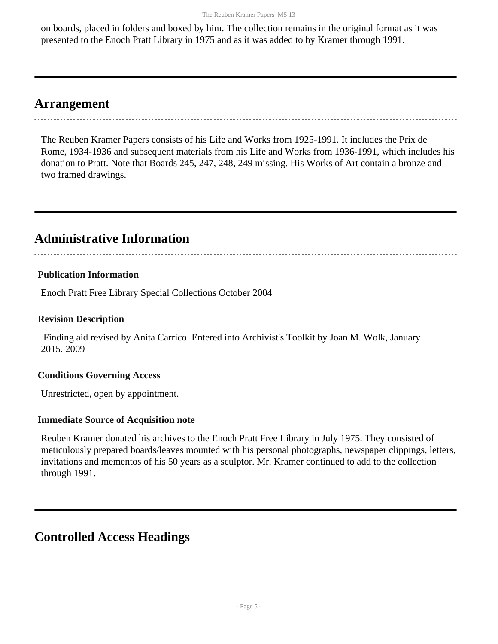on boards, placed in folders and boxed by him. The collection remains in the original format as it was presented to the Enoch Pratt Library in 1975 and as it was added to by Kramer through 1991.

### <span id="page-4-0"></span>**Arrangement**

The Reuben Kramer Papers consists of his Life and Works from 1925-1991. It includes the Prix de Rome, 1934-1936 and subsequent materials from his Life and Works from 1936-1991, which includes his donation to Pratt. Note that Boards 245, 247, 248, 249 missing. His Works of Art contain a bronze and two framed drawings.

## <span id="page-4-1"></span>**Administrative Information**

#### **Publication Information**

Enoch Pratt Free Library Special Collections October 2004

#### **Revision Description**

 Finding aid revised by Anita Carrico. Entered into Archivist's Toolkit by Joan M. Wolk, January 2015. 2009

#### **Conditions Governing Access**

Unrestricted, open by appointment.

#### **Immediate Source of Acquisition note**

Reuben Kramer donated his archives to the Enoch Pratt Free Library in July 1975. They consisted of meticulously prepared boards/leaves mounted with his personal photographs, newspaper clippings, letters, invitations and mementos of his 50 years as a sculptor. Mr. Kramer continued to add to the collection through 1991.

### <span id="page-4-2"></span>**Controlled Access Headings**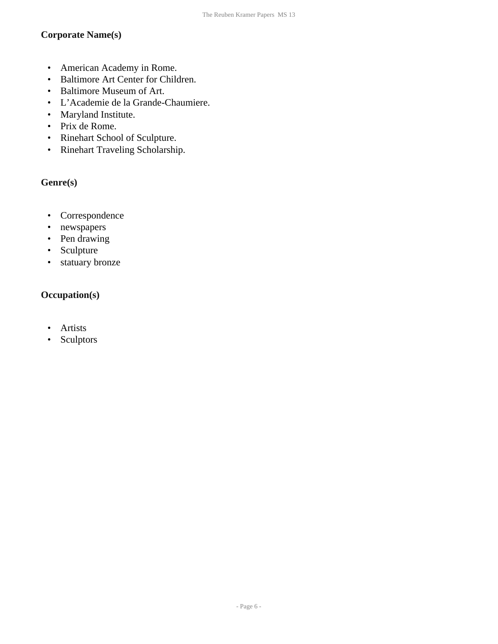#### **Corporate Name(s)**

- American Academy in Rome.
- Baltimore Art Center for Children.
- Baltimore Museum of Art.
- L'Academie de la Grande-Chaumiere.
- Maryland Institute.
- Prix de Rome.
- Rinehart School of Sculpture.
- Rinehart Traveling Scholarship.

#### **Genre(s)**

- Correspondence
- newspapers
- Pen drawing
- Sculpture
- statuary bronze

#### **Occupation(s)**

- Artists
- Sculptors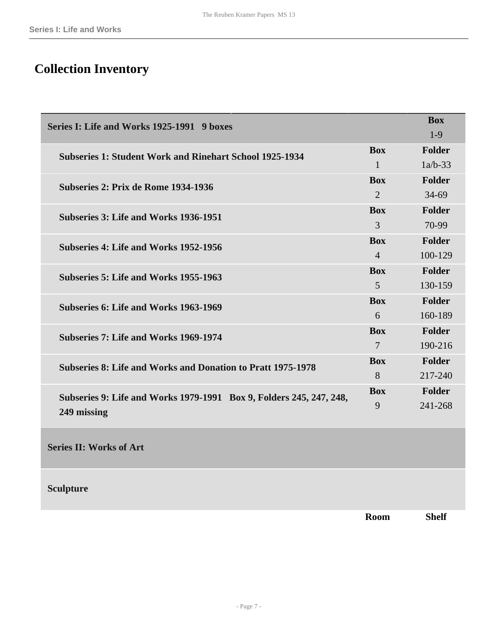# <span id="page-6-0"></span>**Collection Inventory**

<span id="page-6-1"></span>

| Series I: Life and Works 1925-1991 9 boxes                          |                | <b>Box</b>    |
|---------------------------------------------------------------------|----------------|---------------|
|                                                                     |                | $1-9$         |
| <b>Subseries 1: Student Work and Rinehart School 1925-1934</b>      | <b>Box</b>     | <b>Folder</b> |
|                                                                     |                | $1a/b-33$     |
| Subseries 2: Prix de Rome 1934-1936                                 | <b>Box</b>     | Folder        |
|                                                                     |                | $34 - 69$     |
| Subseries 3: Life and Works 1936-1951                               | <b>Box</b>     | <b>Folder</b> |
|                                                                     | 3              | 70-99         |
| Subseries 4: Life and Works 1952-1956                               | <b>Box</b>     | <b>Folder</b> |
|                                                                     | $\overline{4}$ | 100-129       |
| Subseries 5: Life and Works 1955-1963                               | <b>Box</b>     | Folder        |
|                                                                     | 5              | 130-159       |
| Subseries 6: Life and Works 1963-1969                               | <b>Box</b>     | Folder        |
|                                                                     | 6              | 160-189       |
| Subseries 7: Life and Works 1969-1974                               | <b>Box</b>     | Folder        |
|                                                                     | $\overline{7}$ | 190-216       |
| <b>Subseries 8: Life and Works and Donation to Pratt 1975-1978</b>  | <b>Box</b>     | Folder        |
|                                                                     |                | 217-240       |
| Subseries 9: Life and Works 1979-1991 Box 9, Folders 245, 247, 248, | <b>Box</b>     | <b>Folder</b> |
| 249 missing                                                         |                | 241-268       |
|                                                                     |                |               |
|                                                                     |                |               |

<span id="page-6-2"></span>**Series II: Works of Art** 

**Sculpture** 

**Room Shelf**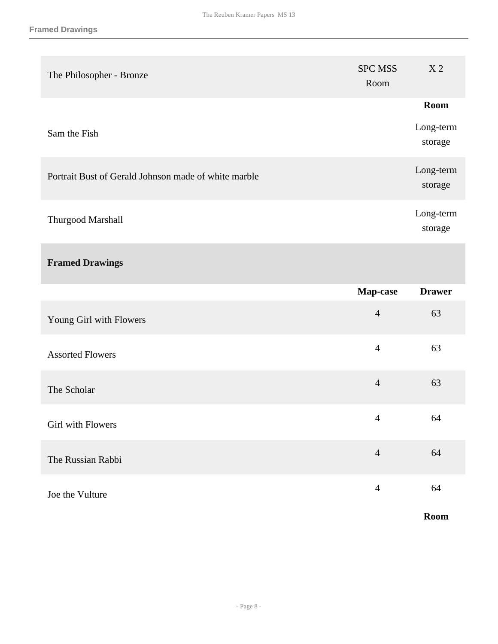| The Philosopher - Bronze                             | <b>SPC MSS</b><br>Room | X <sub>2</sub>       |
|------------------------------------------------------|------------------------|----------------------|
|                                                      |                        | <b>Room</b>          |
| Sam the Fish                                         |                        | Long-term<br>storage |
| Portrait Bust of Gerald Johnson made of white marble |                        | Long-term<br>storage |
| Thurgood Marshall                                    |                        | Long-term<br>storage |
| <b>Framed Drawings</b>                               |                        |                      |
|                                                      | Map-case               | <b>Drawer</b>        |
| Young Girl with Flowers                              | $\overline{4}$         | 63                   |
| <b>Assorted Flowers</b>                              | $\overline{4}$         | 63                   |
| The Scholar                                          | $\overline{4}$         | 63                   |
| Girl with Flowers                                    | $\overline{4}$         | 64                   |
| The Russian Rabbi                                    | $\overline{4}$         | 64                   |
| Joe the Vulture                                      | $\overline{4}$         | 64                   |
|                                                      |                        | Room                 |